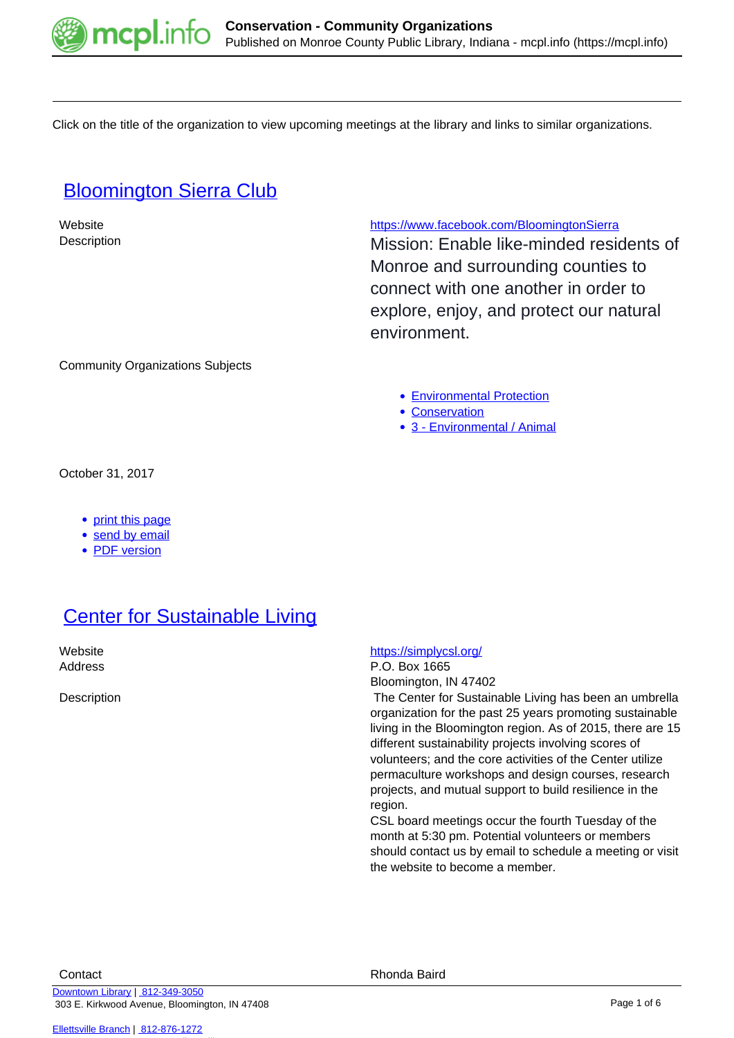

Click on the title of the organization to view upcoming meetings at the library and links to similar organizations.

## **[Bloomington Sierra Club](https://mcpl.info/commorg/bloomington-sierra-club)**

Website <https://www.facebook.com/BloomingtonSierra>

Description **Description** Mission: Enable like-minded residents of Monroe and surrounding counties to connect with one another in order to explore, enjoy, and protect our natural environment.

Community Organizations Subjects

- [Environmental Protection](https://mcpl.info/taxonomy/term/25055)
- [Conservation](https://mcpl.info/taxonomy/term/25054)
- [3 Environmental / Animal](https://mcpl.info/taxonomy/term/24948)

October 31, 2017

- [print this page](https://mcpl.info/print/commorg/bloomington-sierra-club)
- [send by email](https://mcpl.info/printmail/commorg/bloomington-sierra-club)
- [PDF version](https://mcpl.info/printpdf/commorg/bloomington-sierra-club)

# **[Center for Sustainable Living](https://mcpl.info/commorg/center-sustainable-living)**

### Website **<https://simplycsl.org/>**

Address P.O. Box 1665 Bloomington, IN 47402

Description The Center for Sustainable Living has been an umbrella organization for the past 25 years promoting sustainable living in the Bloomington region. As of 2015, there are 15 different sustainability projects involving scores of volunteers; and the core activities of the Center utilize permaculture workshops and design courses, research projects, and mutual support to build resilience in the region.

> CSL board meetings occur the fourth Tuesday of the month at 5:30 pm. Potential volunteers or members should contact us by email to schedule a meeting or visit the website to become a member.

[Downtown Library](https://mcpl.info/geninfo/downtown-library) | [812-349-3050](tel:812-349-3050) 303 E. Kirkwood Avenue, Bloomington, IN 47408

[Ellettsville Branch](https://mcpl.info/ellettsville/ellettsville-branch) | [812-876-1272](tel:812-876-1272)

Contact **Contact Contact Contact** Rhonda Baird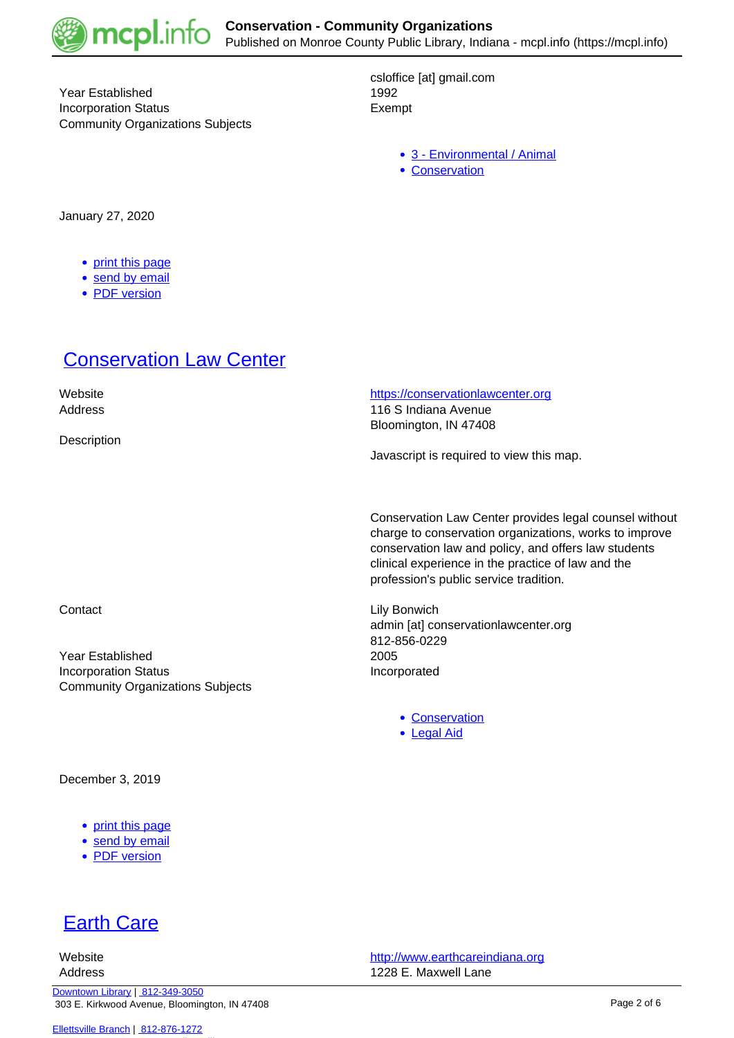

Year Established 1992 Incorporation Status **Exempt** Community Organizations Subjects

csloffice [at] gmail.com

- [3 Environmental / Animal](https://mcpl.info/taxonomy/term/24948)
- [Conservation](https://mcpl.info/taxonomy/term/25054)

January 27, 2020

- [print this page](https://mcpl.info/print/commorg/center-sustainable-living)
- [send by email](https://mcpl.info/printmail/commorg/center-sustainable-living)
- [PDF version](https://mcpl.info/printpdf/commorg/center-sustainable-living)

### **[Conservation Law Center](https://mcpl.info/commorg/conservation-law-center)**

**Description** 

 Website <https://conservationlawcenter.org> Address 116 S Indiana Avenue Bloomington, IN 47408

Javascript is required to view this map.

Conservation Law Center provides legal counsel without charge to conservation organizations, works to improve conservation law and policy, and offers law students clinical experience in the practice of law and the profession's public service tradition.

Contact **Lily Bonwich** admin [at] conservationlawcenter.org 812-856-0229

- [Conservation](https://mcpl.info/taxonomy/term/25054)
- [Legal Aid](https://mcpl.info/taxonomy/term/25114)

Year Established 2005 Incorporation Status **Incorporated** Community Organizations Subjects

December 3, 2019

- [print this page](https://mcpl.info/print/commorg/conservation-law-center)
- [send by email](https://mcpl.info/printmail/commorg/conservation-law-center)
- [PDF version](https://mcpl.info/printpdf/commorg/conservation-law-center)

# **[Earth Care](https://mcpl.info/commorg/earth-care)**

 Website <http://www.earthcareindiana.org> Address 1228 E. Maxwell Lane

[Downtown Library](https://mcpl.info/geninfo/downtown-library) | [812-349-3050](tel:812-349-3050) 303 E. Kirkwood Avenue, Bloomington, IN 47408

[Ellettsville Branch](https://mcpl.info/ellettsville/ellettsville-branch) | [812-876-1272](tel:812-876-1272)

Page 2 of 6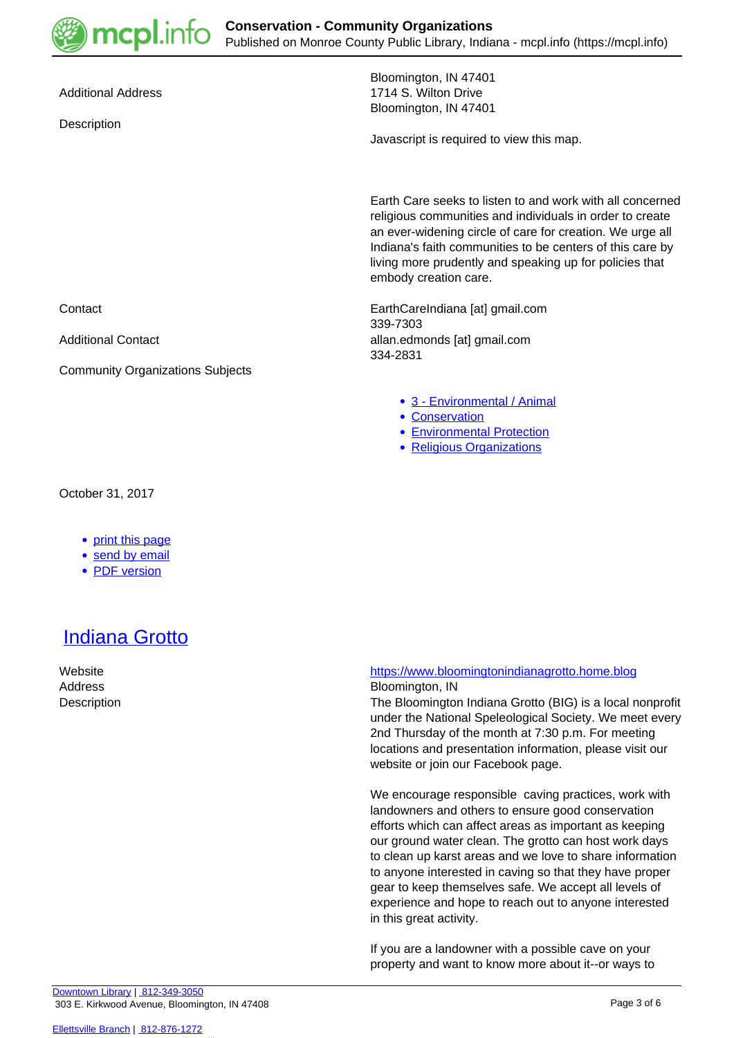

**Description** 

Bloomington, IN 47401 Additional Address **1714 S. Wilton Drive** Bloomington, IN 47401

Javascript is required to view this map.

Earth Care seeks to listen to and work with all concerned religious communities and individuals in order to create an ever-widening circle of care for creation. We urge all Indiana's faith communities to be centers of this care by living more prudently and speaking up for policies that embody creation care.

Contact EarthCareIndiana [at] gmail.com 339-7303 Additional Contact allan.edmonds [at] gmail.com 334-2831

- [3 Environmental / Animal](https://mcpl.info/taxonomy/term/24948)
- [Conservation](https://mcpl.info/taxonomy/term/25054)
- [Environmental Protection](https://mcpl.info/taxonomy/term/25055)
- [Religious Organizations](https://mcpl.info/community-organization-subjects/religious-organizations)

October 31, 2017

### • [print this page](https://mcpl.info/print/commorg/earth-care)

Community Organizations Subjects

- [send by email](https://mcpl.info/printmail/commorg/earth-care)
- [PDF version](https://mcpl.info/printpdf/commorg/earth-care)

## [Indiana Grotto](https://mcpl.info/commorg/indiana-grotto)

#### Website <https://www.bloomingtonindianagrotto.home.blog> Address Bloomington, IN

Description The Bloomington Indiana Grotto (BIG) is a local nonprofit under the National Speleological Society. We meet every 2nd Thursday of the month at 7:30 p.m. For meeting locations and presentation information, please visit our website or join our Facebook page.

> We encourage responsible caving practices, work with landowners and others to ensure good conservation efforts which can affect areas as important as keeping our ground water clean. The grotto can host work days to clean up karst areas and we love to share information to anyone interested in caving so that they have proper gear to keep themselves safe. We accept all levels of experience and hope to reach out to anyone interested in this great activity.

If you are a landowner with a possible cave on your property and want to know more about it--or ways to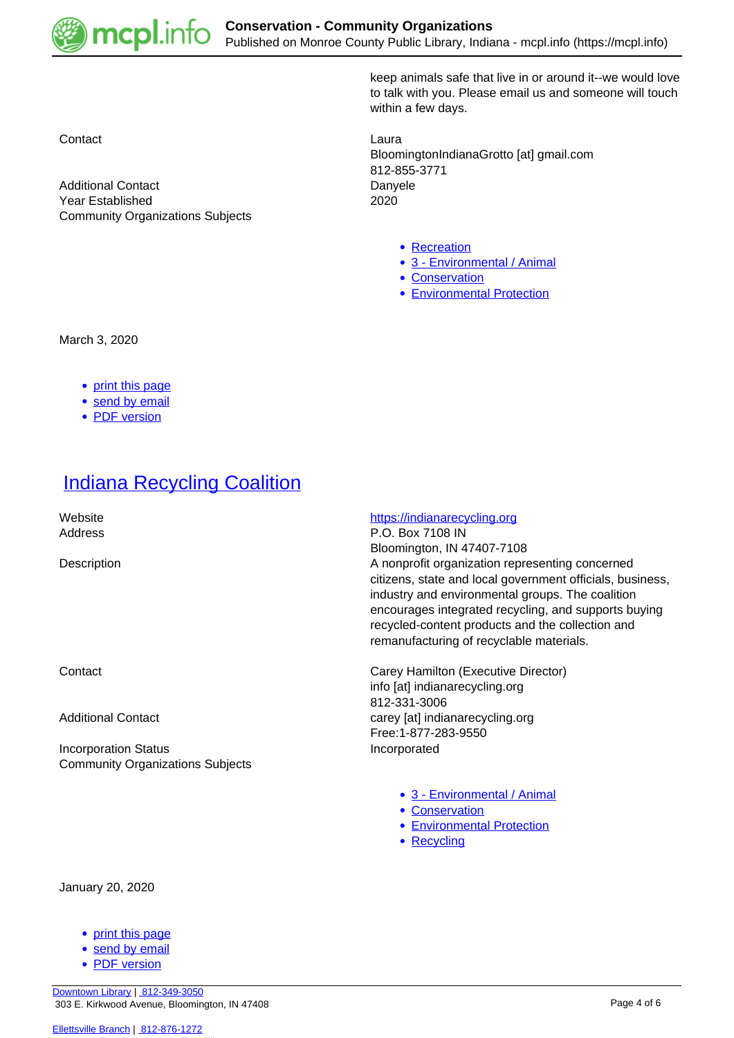

keep animals safe that live in or around it--we would love to talk with you. Please email us and someone will touch within a few days.

**Contact** Laura BloomingtonIndianaGrotto [at] gmail.com 812-855-3771

- [Recreation](https://mcpl.info/community-organization-subjects/recreation)
- [3 Environmental / Animal](https://mcpl.info/taxonomy/term/24948)
- [Conservation](https://mcpl.info/taxonomy/term/25054)
- [Environmental Protection](https://mcpl.info/taxonomy/term/25055)

Additional Contact **Danyele** Year Established 2020 Community Organizations Subjects

March 3, 2020

- [print this page](https://mcpl.info/print/commorg/indiana-grotto)
- [send by email](https://mcpl.info/printmail/commorg/indiana-grotto)
- [PDF version](https://mcpl.info/printpdf/commorg/indiana-grotto)

### **[Indiana Recycling Coalition](https://mcpl.info/commorg/indiana-recycling-coalition)**

Incorporation Status **Incorporated** Community Organizations Subjects

January 20, 2020

- [print this page](https://mcpl.info/print/commorg/indiana-recycling-coalition)
- [send by email](https://mcpl.info/printmail/commorg/indiana-recycling-coalition)
- [PDF version](https://mcpl.info/printpdf/commorg/indiana-recycling-coalition)

Website **<https://indianarecycling.org> https://indianarecycling.org** Address P.O. Box 7108 IN Bloomington, IN 47407-7108 Description A nonprofit organization representing concerned citizens, state and local government officials, business, industry and environmental groups. The coalition encourages integrated recycling, and supports buying recycled-content products and the collection and remanufacturing of recyclable materials.

Contact Carey Hamilton (Executive Director) info [at] indianarecycling.org 812-331-3006 Additional Contact and Contact carey [at] indianarecycling.org Free:1-877-283-9550

- [3 Environmental / Animal](https://mcpl.info/taxonomy/term/24948)
- [Conservation](https://mcpl.info/taxonomy/term/25054)
- [Environmental Protection](https://mcpl.info/taxonomy/term/25055)
- [Recycling](https://mcpl.info/taxonomy/term/25173)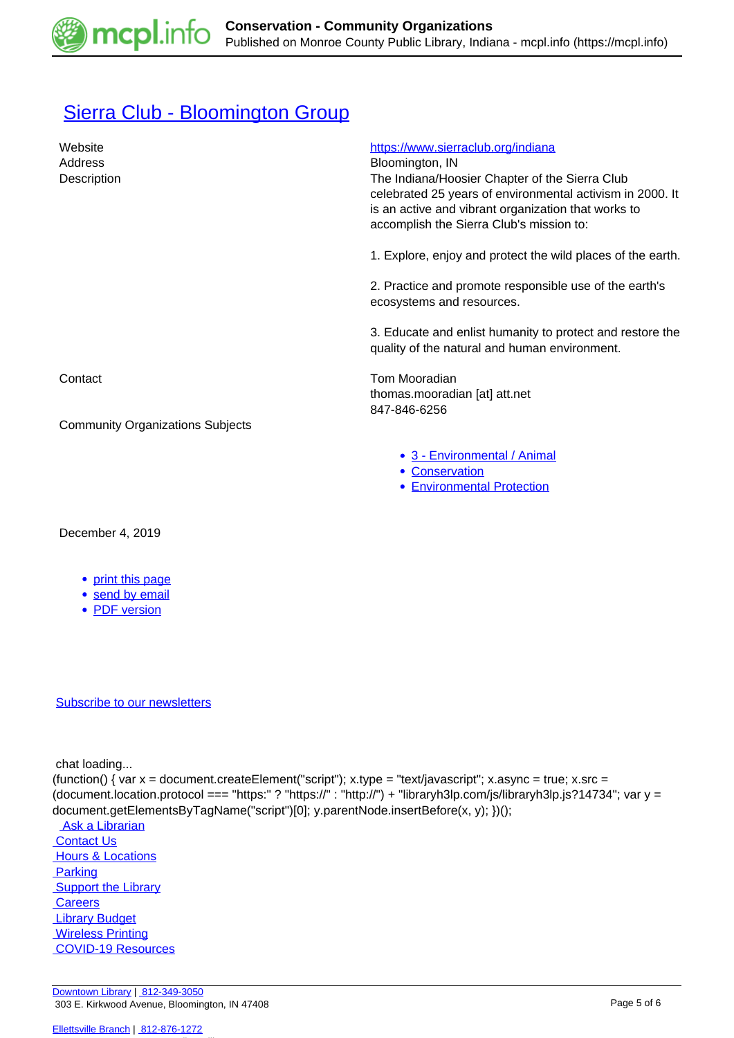

# [Sierra Club - Bloomington Group](https://mcpl.info/commorg/sierra-club-bloomington-group)

| Website<br>Address<br>Description       | https://www.sierraclub.org/indiana<br>Bloomington, IN<br>The Indiana/Hoosier Chapter of the Sierra Club<br>celebrated 25 years of environmental activism in 2000. It<br>is an active and vibrant organization that works to<br>accomplish the Sierra Club's mission to: |
|-----------------------------------------|-------------------------------------------------------------------------------------------------------------------------------------------------------------------------------------------------------------------------------------------------------------------------|
|                                         | 1. Explore, enjoy and protect the wild places of the earth.                                                                                                                                                                                                             |
|                                         | 2. Practice and promote responsible use of the earth's<br>ecosystems and resources.                                                                                                                                                                                     |
|                                         | 3. Educate and enlist humanity to protect and restore the<br>quality of the natural and human environment.                                                                                                                                                              |
| Contact                                 | Tom Mooradian<br>thomas.mooradian [at] att.net<br>847-846-6256                                                                                                                                                                                                          |
| <b>Community Organizations Subjects</b> |                                                                                                                                                                                                                                                                         |
|                                         | • 3 - Environmental / Animal<br>• Conservation<br><b>• Environmental Protection</b>                                                                                                                                                                                     |

### December 4, 2019

- [print this page](https://mcpl.info/print/commorg/sierra-club-bloomington-group)
- [send by email](https://mcpl.info/printmail/commorg/sierra-club-bloomington-group)
- [PDF version](https://mcpl.info/printpdf/commorg/sierra-club-bloomington-group)

### [Subscribe to our newsletters](https://mcpl.info/geninfo/subscribe-think-library-newsletter)

chat loading...

(function() { var  $x =$  document.createElement("script");  $x.$ type = "text/javascript";  $x.$ async = true;  $x.$ src = (document.location.protocol === "https:" ? "https://" : "http://") + "libraryh3lp.com/js/libraryh3lp.js?14734"; var y = document.getElementsByTagName("script")[0]; y.parentNode.insertBefore(x, y); })();

Ask a Librarian **Contact Us Hours & Locations Parking Support the Library Careers**  [Library Budget](https://budgetnotices.in.gov/unit_lookup.aspx?ct=53000)  [Wireless Printing](https://tbs.eprintit.com/portal/#/ppl/upload/monroecpl)  [COVID-19 Resources](https://mcpl.info/geninfo/local-covid-resources)